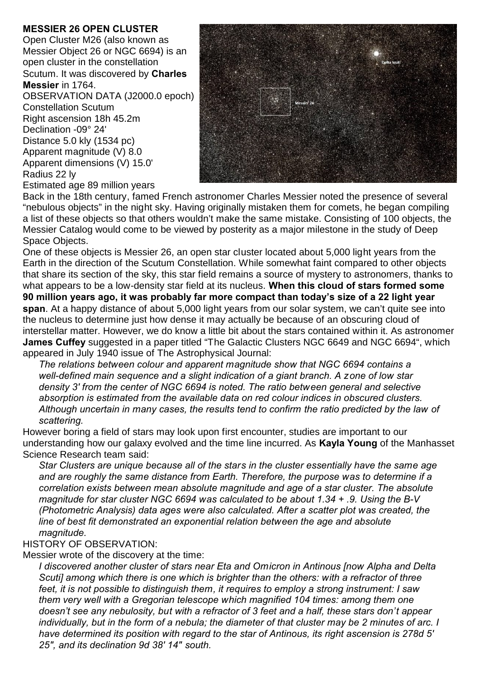## **MESSIER 26 OPEN CLUSTER**

Open Cluster M26 (also known as Messier Object 26 or NGC 6694) is an open cluster in the constellation Scutum. It was discovered by **Charles Messier** in 1764.

OBSERVATION DATA (J2000.0 epoch) Constellation Scutum Right ascension 18h 45.2m Declination -09° 24' Distance 5.0 kly (1534 pc) Apparent magnitude (V) 8.0 Apparent dimensions (V) 15.0' Radius 22 ly

Estimated age 89 million years

Back in the 18th century, famed French astronomer Charles Messier noted the presence of several "nebulous objects" in the night sky. Having originally mistaken them for comets, he began compiling a list of these objects so that others wouldn't make the same mistake. Consisting of 100 objects, the Messier Catalog would come to be viewed by posterity as a major milestone in the study of Deep Space Objects.

One of these objects is Messier 26, an open star cluster located about 5,000 light years from the Earth in the direction of the Scutum Constellation. While somewhat faint compared to other objects that share its section of the sky, this star field remains a source of mystery to astronomers, thanks to what appears to be a low-density star field at its nucleus. **When this cloud of stars formed some 90 million years ago, it was probably far more compact than today's size of a 22 light year span**. At a happy distance of about 5,000 light years from our solar system, we can't quite see into the nucleus to determine just how dense it may actually be because of an obscuring cloud of interstellar matter. However, we do know a little bit about the stars contained within it. As astronomer **James Cuffey** suggested in a paper titled "The Galactic Clusters NGC 6649 and NGC 6694", which appeared in July 1940 issue of The Astrophysical Journal:

*The relations between colour and apparent magnitude show that NGC 6694 contains a well-defined main sequence and a slight indication of a giant branch. A zone of low star density 3' from the center of NGC 6694 is noted. The ratio between general and selective absorption is estimated from the available data on red colour indices in obscured clusters. Although uncertain in many cases, the results tend to confirm the ratio predicted by the law of scattering.*

However boring a field of stars may look upon first encounter, studies are important to our understanding how our galaxy evolved and the time line incurred. As **Kayla Young** of the Manhasset Science Research team said:

*Star Clusters are unique because all of the stars in the cluster essentially have the same age and are roughly the same distance from Earth. Therefore, the purpose was to determine if a correlation exists between mean absolute magnitude and age of a star cluster. The absolute magnitude for star cluster NGC 6694 was calculated to be about 1.34 + .9. Using the B-V (Photometric Analysis) data ages were also calculated. After a scatter plot was created, the line of best fit demonstrated an exponential relation between the age and absolute magnitude.*

## HISTORY OF OBSERVATION:

Messier wrote of the discovery at the time:

*I discovered another cluster of stars near Eta and Omicron in Antinous [now Alpha and Delta Scuti] among which there is one which is brighter than the others: with a refractor of three feet, it is not possible to distinguish them, it requires to employ a strong instrument: I saw them very well with a Gregorian telescope which magnified 104 times: among them one doesn't see any nebulosity, but with a refractor of 3 feet and a half, these stars don't appear individually, but in the form of a nebula; the diameter of that cluster may be 2 minutes of arc. I have determined its position with regard to the star of Antinous, its right ascension is 278d 5' 25", and its declination 9d 38' 14" south.*